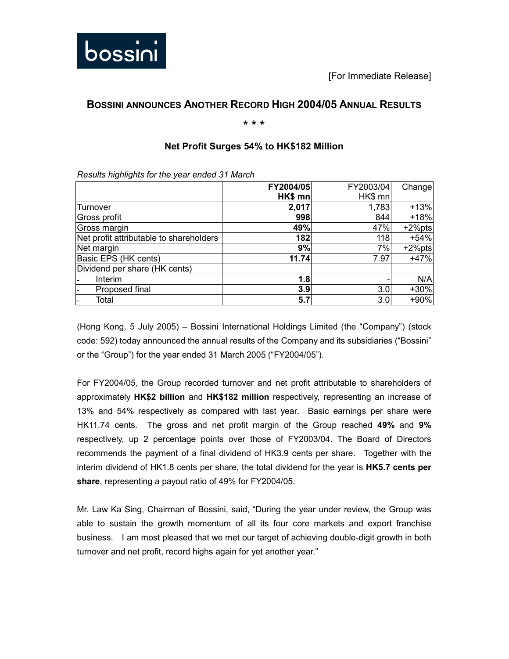

# **BOSSINI ANNOUNCES ANOTHER RECORD HIGH 2004/05 ANNUAL RESULTS**

## **\* \* \***

## **Net Profit Surges 54% to HK\$182 Million**

|                                         | FY2004/05 | FY2003/04 | Change    |
|-----------------------------------------|-----------|-----------|-----------|
|                                         | $HK$ mn   | HK\$ mn   |           |
| Turnover                                | 2,017     | 1,783     | $+13%$    |
| Gross profit                            | 998       | 844       | $+18%$    |
| Gross margin                            | 49%       | 47%       | $+2%$ pts |
| Net profit attributable to shareholders | 182       | 118       | $+54%$    |
| Net margin                              | 9%        | 7%        | $+2%$ pts |
| Basic EPS (HK cents)                    | 11.74     | 7.97      | $+47%$    |
| Dividend per share (HK cents)           |           |           |           |
| Interim                                 | 1.8       |           | N/A       |
| Proposed final                          | 3.9       | 3.0       | +30%      |
| Total                                   | 5.7       | 3.0       | +90%      |

*Results highlights for the year ended 31 March* 

(Hong Kong, 5 July 2005) – Bossini International Holdings Limited (the "Company") (stock code: 592) today announced the annual results of the Company and its subsidiaries ("Bossini" or the "Group") for the year ended 31 March 2005 ("FY2004/05").

For FY2004/05, the Group recorded turnover and net profit attributable to shareholders of approximately **HK\$2 billion** and **HK\$182 million** respectively, representing an increase of 13% and 54% respectively as compared with last year. Basic earnings per share were HK11.74 cents. The gross and net profit margin of the Group reached **49%** and **9%** respectively, up 2 percentage points over those of FY2003/04. The Board of Directors recommends the payment of a final dividend of HK3.9 cents per share. Together with the interim dividend of HK1.8 cents per share, the total dividend for the year is **HK5.7 cents per share**, representing a payout ratio of 49% for FY2004/05.

Mr. Law Ka Sing, Chairman of Bossini, said, "During the year under review, the Group was able to sustain the growth momentum of all its four core markets and export franchise business. I am most pleased that we met our target of achieving double-digit growth in both turnover and net profit, record highs again for yet another year."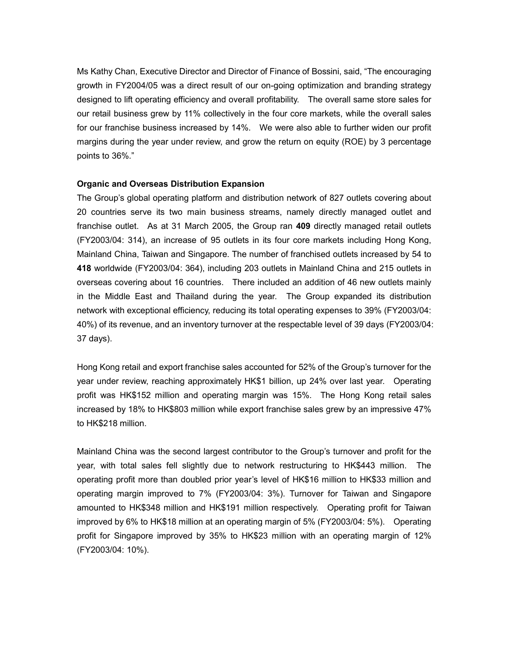Ms Kathy Chan, Executive Director and Director of Finance of Bossini, said, "The encouraging growth in FY2004/05 was a direct result of our on-going optimization and branding strategy designed to lift operating efficiency and overall profitability. The overall same store sales for our retail business grew by 11% collectively in the four core markets, while the overall sales for our franchise business increased by 14%. We were also able to further widen our profit margins during the year under review, and grow the return on equity (ROE) by 3 percentage points to 36%."

## **Organic and Overseas Distribution Expansion**

The Group's global operating platform and distribution network of 827 outlets covering about 20 countries serve its two main business streams, namely directly managed outlet and franchise outlet. As at 31 March 2005, the Group ran **409** directly managed retail outlets (FY2003/04: 314), an increase of 95 outlets in its four core markets including Hong Kong, Mainland China, Taiwan and Singapore. The number of franchised outlets increased by 54 to **418** worldwide (FY2003/04: 364), including 203 outlets in Mainland China and 215 outlets in overseas covering about 16 countries. There included an addition of 46 new outlets mainly in the Middle East and Thailand during the year. The Group expanded its distribution network with exceptional efficiency, reducing its total operating expenses to 39% (FY2003/04: 40%) of its revenue, and an inventory turnover at the respectable level of 39 days (FY2003/04: 37 days).

Hong Kong retail and export franchise sales accounted for 52% of the Group's turnover for the year under review, reaching approximately HK\$1 billion, up 24% over last year. Operating profit was HK\$152 million and operating margin was 15%. The Hong Kong retail sales increased by 18% to HK\$803 million while export franchise sales grew by an impressive 47% to HK\$218 million.

Mainland China was the second largest contributor to the Group's turnover and profit for the year, with total sales fell slightly due to network restructuring to HK\$443 million. The operating profit more than doubled prior year's level of HK\$16 million to HK\$33 million and operating margin improved to 7% (FY2003/04: 3%). Turnover for Taiwan and Singapore amounted to HK\$348 million and HK\$191 million respectively. Operating profit for Taiwan improved by 6% to HK\$18 million at an operating margin of 5% (FY2003/04: 5%). Operating profit for Singapore improved by 35% to HK\$23 million with an operating margin of 12% (FY2003/04: 10%).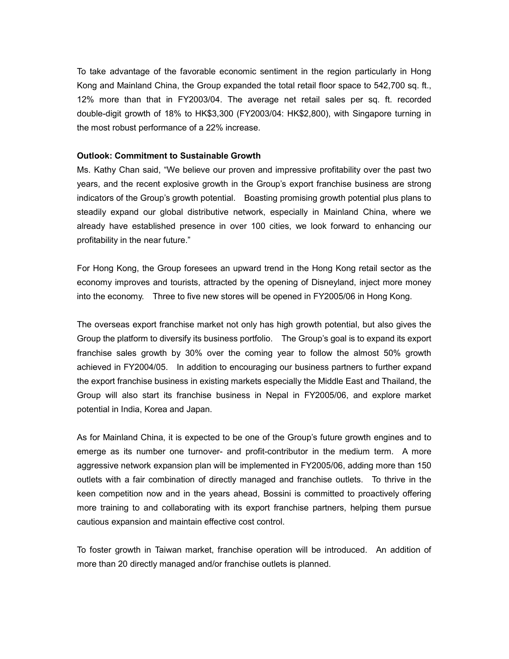To take advantage of the favorable economic sentiment in the region particularly in Hong Kong and Mainland China, the Group expanded the total retail floor space to 542,700 sq. ft., 12% more than that in FY2003/04. The average net retail sales per sq. ft. recorded double-digit growth of 18% to HK\$3,300 (FY2003/04: HK\$2,800), with Singapore turning in the most robust performance of a 22% increase.

#### **Outlook: Commitment to Sustainable Growth**

Ms. Kathy Chan said, "We believe our proven and impressive profitability over the past two years, and the recent explosive growth in the Group's export franchise business are strong indicators of the Group's growth potential. Boasting promising growth potential plus plans to steadily expand our global distributive network, especially in Mainland China, where we already have established presence in over 100 cities, we look forward to enhancing our profitability in the near future."

For Hong Kong, the Group foresees an upward trend in the Hong Kong retail sector as the economy improves and tourists, attracted by the opening of Disneyland, inject more money into the economy. Three to five new stores will be opened in FY2005/06 in Hong Kong.

The overseas export franchise market not only has high growth potential, but also gives the Group the platform to diversify its business portfolio. The Group's goal is to expand its export franchise sales growth by 30% over the coming year to follow the almost 50% growth achieved in FY2004/05. In addition to encouraging our business partners to further expand the export franchise business in existing markets especially the Middle East and Thailand, the Group will also start its franchise business in Nepal in FY2005/06, and explore market potential in India, Korea and Japan.

As for Mainland China, it is expected to be one of the Group's future growth engines and to emerge as its number one turnover- and profit-contributor in the medium term. A more aggressive network expansion plan will be implemented in FY2005/06, adding more than 150 outlets with a fair combination of directly managed and franchise outlets. To thrive in the keen competition now and in the years ahead, Bossini is committed to proactively offering more training to and collaborating with its export franchise partners, helping them pursue cautious expansion and maintain effective cost control.

To foster growth in Taiwan market, franchise operation will be introduced. An addition of more than 20 directly managed and/or franchise outlets is planned.